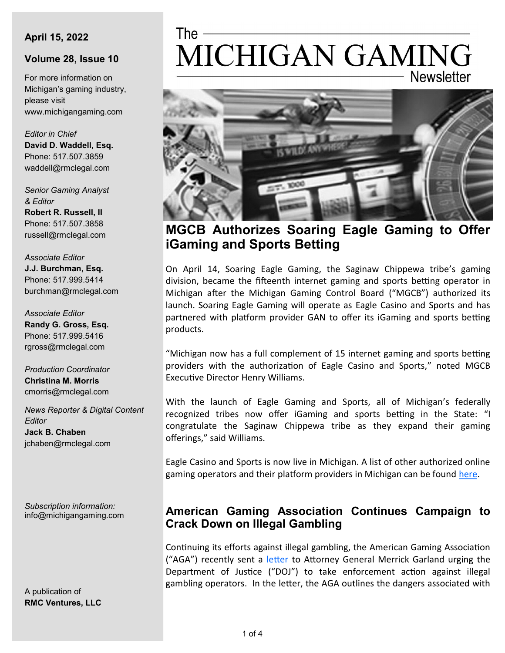#### **April 15, 2022**

#### **Volume 28, Issue 10**

For more information on Michigan's gaming industry, please visit www.michigangaming.com

*Editor in Chief* **David D. Waddell, Esq.** Phone: 517.507.3859 waddell@rmclegal.com

*Senior Gaming Analyst & Editor* **Robert R. Russell, II**

Phone: 517.507.3858 russell@rmclegal.com

*Associate Editor* **J.J. Burchman, Esq.** Phone: 517.999.5414 burchman@rmclegal.com

*Associate Editor* **Randy G. Gross, Esq.** Phone: 517.999.5416 rgross@rmclegal.com

*Production Coordinator* **Christina M. Morris** cmorris@rmclegal.com

*News Reporter & Digital Content Editor* **Jack B. Chaben** jchaben@rmclegal.com

*Subscription information:* info@michigangaming.com

A publication of **RMC Ventures, LLC**

# The -MICHIGAN GAMING **Newsletter**



# **MGCB Authorizes Soaring Eagle Gaming to Offer iGaming and Sports Betting**

On April 14, Soaring Eagle Gaming, the Saginaw Chippewa tribe's gaming division, became the fifteenth internet gaming and sports betting operator in Michigan after the Michigan Gaming Control Board ("MGCB") authorized its launch. Soaring Eagle Gaming will operate as Eagle Casino and Sports and has partnered with platform provider GAN to offer its iGaming and sports betting products.

"Michigan now has a full complement of 15 internet gaming and sports betting providers with the authorization of Eagle Casino and Sports," noted MGCB Executive Director Henry Williams.

With the launch of Eagle Gaming and Sports, all of Michigan's federally recognized tribes now offer iGaming and sports betting in the State: "I congratulate the Saginaw Chippewa tribe as they expand their gaming offerings," said Williams.

Eagle Casino and Sports is now live in Michigan. A list of other authorized online gaming operators and their platform providers in Michigan can be found [here.](https://firekeeperscasino.com/2022/03/31/the-nottawaseppi-huron-band-of-the-potawatomi-and-firekeepers-casino-hotel-set-records-with-combined-27-4-million-contributions-to-state-and-local-revenue-sharing-boards/)

### **American Gaming Association Continues Campaign to Crack Down on Illegal Gambling**

Continuing its efforts against illegal gambling, the American Gaming Association ("AGA") recently sent a [letter](https://www.americangaming.org/wp-content/uploads/2022/04/AGA_DoJIllegalGambling-4.13.22.pdf) to Attorney General Merrick Garland urging the Department of Justice ("DOJ") to take enforcement action against illegal gambling operators. In the letter, the AGA outlines the dangers associated with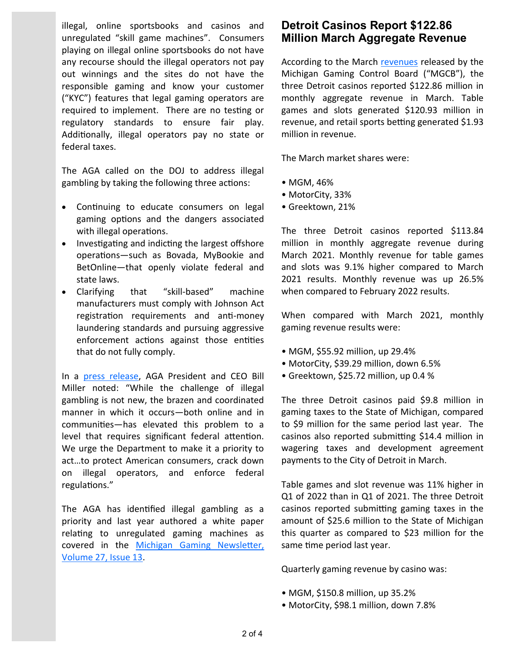illegal, online sportsbooks and casinos and unregulated "skill game machines". Consumers playing on illegal online sportsbooks do not have any recourse should the illegal operators not pay out winnings and the sites do not have the responsible gaming and know your customer ("KYC") features that legal gaming operators are required to implement. There are no testing or regulatory standards to ensure fair play. Additionally, illegal operators pay no state or federal taxes.

The AGA called on the DOJ to address illegal gambling by taking the following three actions:

- Continuing to educate consumers on legal gaming options and the dangers associated with illegal operations.
- Investigating and indicting the largest offshore operations—such as Bovada, MyBookie and BetOnline—that openly violate federal and state laws.
- Clarifying that "skill-based" machine manufacturers must comply with Johnson Act registration requirements and anti-money laundering standards and pursuing aggressive enforcement actions against those entities that do not fully comply.

In a [press release,](https://www.americangaming.org/new/american-gaming-association-urges-department-of-justice-to-crack-down-on-illegal-gambling/) AGA President and CEO Bill Miller noted: "While the challenge of illegal gambling is not new, the brazen and coordinated manner in which it occurs—both online and in communities—has elevated this problem to a level that requires significant federal attention. We urge the Department to make it a priority to act…to protect American consumers, crack down on illegal operators, and enforce federal regulations."

The AGA has identified illegal gambling as a priority and last year authored a white paper relating to unregulated gaming machines as covered in the [Michigan Gaming Newsletter,](https://michigangaming.com/docs/newsletter/volume_27/Vol27-Issue13.pdf)  [Volume 27, Issue 13.](https://michigangaming.com/docs/newsletter/volume_27/Vol27-Issue13.pdf) 

### **Detroit Casinos Report \$122.86 Million March Aggregate Revenue**

According to the March [revenues](https://content.govdelivery.com/accounts/MIGCB/bulletins/312eb49) released by the Michigan Gaming Control Board ("MGCB"), the three Detroit casinos reported \$122.86 million in monthly aggregate revenue in March. Table games and slots generated \$120.93 million in revenue, and retail sports betting generated \$1.93 million in revenue.

The March market shares were:

- MGM, 46%
- MotorCity, 33%
- Greektown, 21%

The three Detroit casinos reported \$113.84 million in monthly aggregate revenue during March 2021. Monthly revenue for table games and slots was 9.1% higher compared to March 2021 results. Monthly revenue was up 26.5% when compared to February 2022 results.

When compared with March 2021, monthly gaming revenue results were:

- MGM, \$55.92 million, up 29.4%
- MotorCity, \$39.29 million, down 6.5%
- Greektown, \$25.72 million, up 0.4 %

The three Detroit casinos paid \$9.8 million in gaming taxes to the State of Michigan, compared to \$9 million for the same period last year. The casinos also reported submitting \$14.4 million in wagering taxes and development agreement payments to the City of Detroit in March.

Table games and slot revenue was 11% higher in Q1 of 2022 than in Q1 of 2021. The three Detroit casinos reported submitting gaming taxes in the amount of \$25.6 million to the State of Michigan this quarter as compared to \$23 million for the same time period last year.

Quarterly gaming revenue by casino was:

- MGM, \$150.8 million, up 35.2%
- MotorCity, \$98.1 million, down 7.8%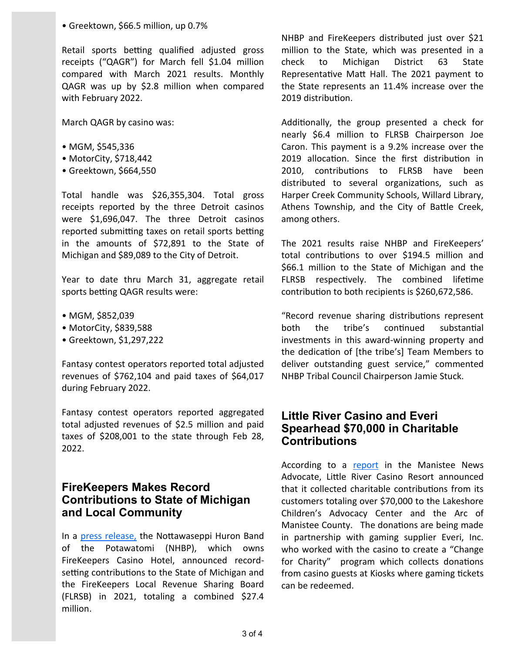• Greektown, \$66.5 million, up 0.7%

Retail sports betting qualified adjusted gross receipts ("QAGR") for March fell \$1.04 million compared with March 2021 results. Monthly QAGR was up by \$2.8 million when compared with February 2022.

March QAGR by casino was:

- MGM, \$545,336
- MotorCity, \$718,442
- Greektown, \$664,550

Total handle was \$26,355,304. Total gross receipts reported by the three Detroit casinos were \$1,696,047. The three Detroit casinos reported submitting taxes on retail sports betting in the amounts of \$72,891 to the State of Michigan and \$89,089 to the City of Detroit.

Year to date thru March 31, aggregate retail sports betting QAGR results were:

- MGM, \$852,039
- MotorCity, \$839,588
- Greektown, \$1,297,222

Fantasy contest operators reported total adjusted revenues of \$762,104 and paid taxes of \$64,017 during February 2022.

Fantasy contest operators reported aggregated total adjusted revenues of \$2.5 million and paid taxes of \$208,001 to the state through Feb 28, 2022.

## **FireKeepers Makes Record Contributions to State of Michigan and Local Community**

In a [press release,](https://firekeeperscasino.com/2022/03/31/the-nottawaseppi-huron-band-of-the-potawatomi-and-firekeepers-casino-hotel-set-records-with-combined-27-4-million-contributions-to-state-and-local-revenue-sharing-boards/) the Nottawaseppi Huron Band of the Potawatomi (NHBP), which owns FireKeepers Casino Hotel, announced recordsetting contributions to the State of Michigan and the FireKeepers Local Revenue Sharing Board (FLRSB) in 2021, totaling a combined \$27.4 million.

NHBP and FireKeepers distributed just over \$21 million to the State, which was presented in a check to Michigan District 63 State Representative Matt Hall. The 2021 payment to the State represents an 11.4% increase over the 2019 distribution.

Additionally, the group presented a check for nearly \$6.4 million to FLRSB Chairperson Joe Caron. This payment is a 9.2% increase over the 2019 allocation. Since the first distribution in 2010, contributions to FLRSB have been distributed to several organizations, such as Harper Creek Community Schools, Willard Library, Athens Township, and the City of Battle Creek, among others.

The 2021 results raise NHBP and FireKeepers' total contributions to over \$194.5 million and \$66.1 million to the State of Michigan and the FLRSB respectively. The combined lifetime contribution to both recipients is \$260,672,586.

"Record revenue sharing distributions represent both the tribe's continued substantial investments in this award-winning property and the dedication of [the tribe's] Team Members to deliver outstanding guest service," commented NHBP Tribal Council Chairperson Jamie Stuck.

#### **Little River Casino and Everi Spearhead \$70,000 in Charitable Contributions**

According to a [report](https://www.manisteenews.com/news/article/Casino-Resort-donates-over-70K-to-these-local-17080979.php) in the Manistee News Advocate, Little River Casino Resort announced that it collected charitable contributions from its customers totaling over \$70,000 to the Lakeshore Children's Advocacy Center and the Arc of Manistee County. The donations are being made in partnership with gaming supplier Everi, Inc. who worked with the casino to create a "Change for Charity" program which collects donations from casino guests at Kiosks where gaming tickets can be redeemed.